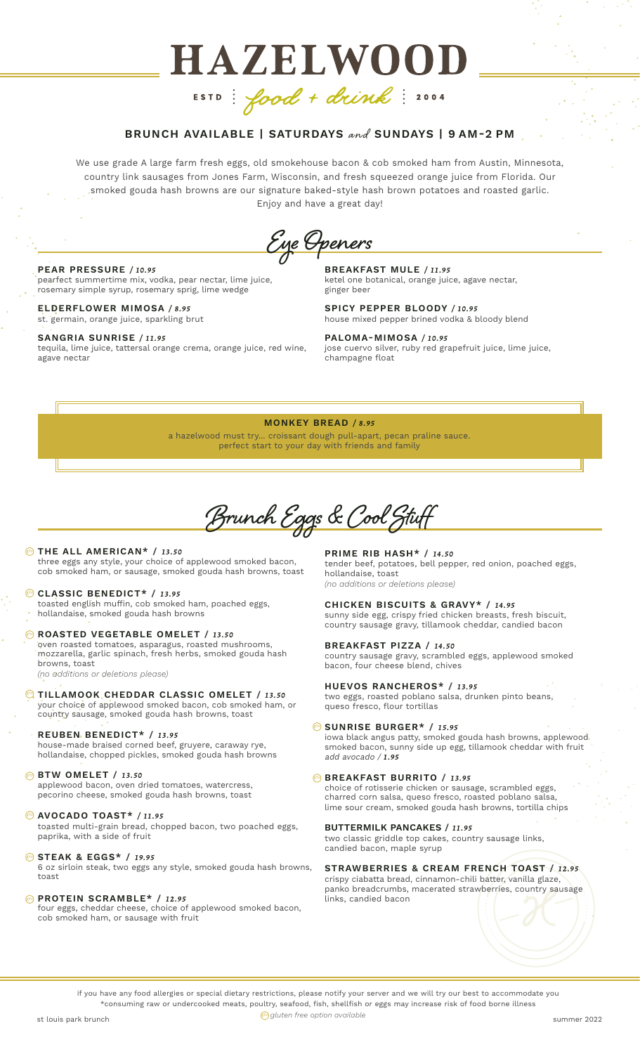# HAZELWOOD ESTD: food + drink: 2004

# **BRUNCH AVAILABLE | SATURDAYS** and **SUNDAYS | 9 AM-2 PM**

We use grade A large farm fresh eggs, old smokehouse bacon & cob smoked ham from Austin, Minnesota, country link sausages from Jones Farm, Wisconsin, and fresh squeezed orange juice from Florida. Our smoked gouda hash browns are our signature baked-style hash brown potatoes and roasted garlic. Enjoy and have a great day!

**Eye Openers**

#### **PEAR PRESSURE** */ 10.95*

pearfect summertime mix, vodka, pear nectar, lime juice, rosemary simple syrup, rosemary sprig, lime wedge

**ELDERFLOWER MIMOSA** */ 8.95* st. germain, orange juice, sparkling brut

#### **SANGRIA SUNRISE** */ 11.95*

tequila, lime juice, tattersal orange crema, orange juice, red wine, agave nectar

**BREAKFAST MULE** */ 11.95* ketel one botanical, orange juice, agave nectar, ginger beer

**SPICY PEPPER BLOODY** */ 10.95* house mixed pepper brined vodka & bloody blend

**PALOMA-MIMOSA** */ 10.95* jose cuervo silver, ruby red grapefruit juice, lime juice, **champagne** float

#### **MONKEY BREAD** */ 8.95*

a hazelwood must try... croissant dough pull-apart, pecan praline sauce. perfect start to your day with friends and family

**Brunch Eggs & Cool Stuff**

#### **DE ALL AMERICAN\* / 13.50**

three eggs any style, your choice of applewood smoked bacon, cob smoked ham, or sausage, smoked gouda hash browns, toast

# **CLASSIC BENEDICT\* /** *13.95* gfo

toasted english muffin, cob smoked ham, poached eggs, hollandaise, smoked gouda hash browns

#### **B** ROASTED VEGETABLE OMELET / 13.50

oven roasted tomatoes, asparagus, roasted mushrooms, mozzarella, garlic spinach, fresh herbs, smoked gouda hash browns, toast

*(no additions or deletions please)*

#### **TILLAMOOK CHEDDAR CLASSIC OMELET /** *13.50* gfo

your choice of applewood smoked bacon, cob smoked ham, or country sausage, smoked gouda hash browns, toast

## **REUBEN BENEDICT\* /** *13.95*

house-made braised corned beef, gruyere, caraway rye, hollandaise, chopped pickles, smoked gouda hash browns

#### **BTW OMELET /** *13.50* gfo

applewood bacon, oven dried tomatoes, watercress, pecorino cheese, smoked gouda hash browns, toast

#### **AVOCADO TOAST\*** */ 11.95* gfo

toasted multi-grain bread, chopped bacon, two poached eggs, paprika, with a side of fruit

#### **STEAK & EGGS\* /** *19.95* gfo

6 oz sirloin steak, two eggs any style, smoked gouda hash browns, toast

#### **PROTEIN SCRAMBLE\* /** *12.95* gfo

four eggs, cheddar cheese, choice of applewood smoked bacon, cob smoked ham, or sausage with fruit

**PRIME RIB HASH\* /** *14.50* tender beef, potatoes, bell pepper, red onion, poached eggs, hollandaise, toast *(no additions or deletions please)*

## **CHICKEN BISCUITS & GRAVY\* /** *14.95*

sunny side egg, crispy fried chicken breasts, fresh biscuit, country sausage gravy, tillamook cheddar, candied bacon

#### **BREAKFAST PIZZA /** *14.50*

country sausage gravy, scrambled eggs, applewood smoked bacon, four cheese blend, chives

# **HUEVOS RANCHEROS\* /** *13.95*

two eggs, roasted poblano salsa, drunken pinto beans, queso fresco, flour tortillas

#### **SUNRISE BURGER\* /** *15.95* gfo

iowa black angus patty, smoked gouda hash browns, applewood smoked bacon, sunny side up egg, tillamook cheddar with fruit add avocado / *1.95*

#### **BREAKFAST BURRITO / 13.95**

choice of rotisserie chicken or sausage, scrambled eggs, charred corn salsa, queso fresco, roasted poblano salsa, lime sour cream, smoked gouda hash browns, tortilla chips

#### **BUTTERMILK PANCAKES /** *11.95*

two classic griddle top cakes, country sausage links, candied bacon, maple syrup

# **STRAWBERRIES & CREAM FRENCH TOAST /** *12.95* crispy ciabatta bread, cinnamon-chili batter, vanilla glaze,

panko breadcrumbs, macerated strawberries, country sausage links, candied bacon

if you have any food allergies or special dietary restrictions, please notify your server and we will try our best to accommodate you \*consuming raw or undercooked meats, poultry, seafood, fish, shellfish or eggs may increase risk of food borne illness

st louis park brunch summer 2022 gfo *gluten free option available*